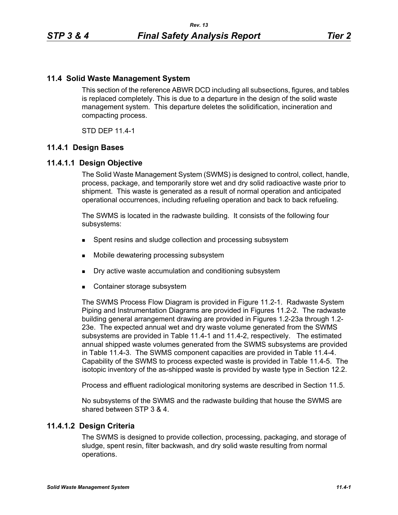# **11.4 Solid Waste Management System**

This section of the reference ABWR DCD including all subsections, figures, and tables is replaced completely. This is due to a departure in the design of the solid waste management system. This departure deletes the solidification, incineration and compacting process.

STD DEP 11.4-1

# **11.4.1 Design Bases**

# **11.4.1.1 Design Objective**

The Solid Waste Management System (SWMS) is designed to control, collect, handle, process, package, and temporarily store wet and dry solid radioactive waste prior to shipment. This waste is generated as a result of normal operation and anticipated operational occurrences, including refueling operation and back to back refueling.

The SWMS is located in the radwaste building. It consists of the following four subsystems:

- **Spent resins and sludge collection and processing subsystem**
- Mobile dewatering processing subsystem
- Dry active waste accumulation and conditioning subsystem
- Container storage subsystem

The SWMS Process Flow Diagram is provided in Figure 11.2-1. Radwaste System Piping and Instrumentation Diagrams are provided in Figures 11.2-2. The radwaste building general arrangement drawing are provided in Figures 1.2-23a through 1.2- 23e. The expected annual wet and dry waste volume generated from the SWMS subsystems are provided in Table 11.4-1 and 11.4-2, respectively. The estimated annual shipped waste volumes generated from the SWMS subsystems are provided in Table 11.4-3. The SWMS component capacities are provided in Table 11.4-4. Capability of the SWMS to process expected waste is provided in Table 11.4-5. The isotopic inventory of the as-shipped waste is provided by waste type in Section 12.2.

Process and effluent radiological monitoring systems are described in Section 11.5.

No subsystems of the SWMS and the radwaste building that house the SWMS are shared between STP 3 & 4.

# **11.4.1.2 Design Criteria**

The SWMS is designed to provide collection, processing, packaging, and storage of sludge, spent resin, filter backwash, and dry solid waste resulting from normal operations.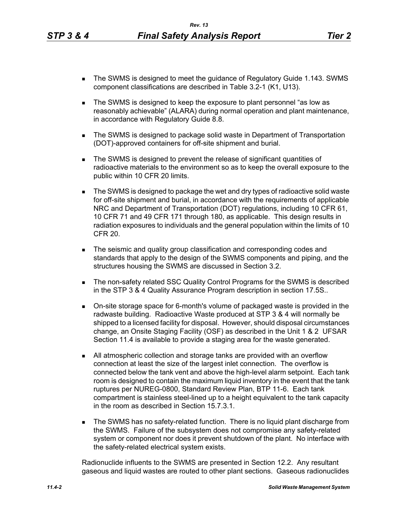- The SWMS is designed to meet the guidance of Regulatory Guide 1.143. SWMS component classifications are described in Table 3.2-1 (K1, U13).
- The SWMS is designed to keep the exposure to plant personnel "as low as reasonably achievable" (ALARA) during normal operation and plant maintenance, in accordance with Regulatory Guide 8.8.
- **The SWMS is designed to package solid waste in Department of Transportation** (DOT)-approved containers for off-site shipment and burial.
- The SWMS is designed to prevent the release of significant quantities of radioactive materials to the environment so as to keep the overall exposure to the public within 10 CFR 20 limits.
- The SWMS is designed to package the wet and dry types of radioactive solid waste for off-site shipment and burial, in accordance with the requirements of applicable NRC and Department of Transportation (DOT) regulations, including 10 CFR 61, 10 CFR 71 and 49 CFR 171 through 180, as applicable. This design results in radiation exposures to individuals and the general population within the limits of 10 CFR 20.
- **The seismic and quality group classification and corresponding codes and** standards that apply to the design of the SWMS components and piping, and the structures housing the SWMS are discussed in Section 3.2.
- The non-safety related SSC Quality Control Programs for the SWMS is described in the STP 3 & 4 Quality Assurance Program description in section 17.5S..
- On-site storage space for 6-month's volume of packaged waste is provided in the radwaste building. Radioactive Waste produced at STP 3 & 4 will normally be shipped to a licensed facility for disposal. However, should disposal circumstances change, an Onsite Staging Facility (OSF) as described in the Unit 1 & 2 UFSAR Section 11.4 is available to provide a staging area for the waste generated.
- All atmospheric collection and storage tanks are provided with an overflow connection at least the size of the largest inlet connection. The overflow is connected below the tank vent and above the high-level alarm setpoint. Each tank room is designed to contain the maximum liquid inventory in the event that the tank ruptures per NUREG-0800, Standard Review Plan, BTP 11-6. Each tank compartment is stainless steel-lined up to a height equivalent to the tank capacity in the room as described in Section 15.7.3.1.
- **The SWMS has no safety-related function. There is no liquid plant discharge from** the SWMS. Failure of the subsystem does not compromise any safety-related system or component nor does it prevent shutdown of the plant. No interface with the safety-related electrical system exists.

Radionuclide influents to the SWMS are presented in Section 12.2. Any resultant gaseous and liquid wastes are routed to other plant sections. Gaseous radionuclides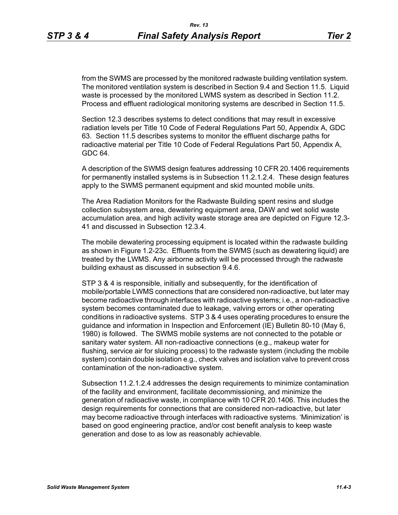from the SWMS are processed by the monitored radwaste building ventilation system. The monitored ventilation system is described in Section 9.4 and Section 11.5. Liquid waste is processed by the monitored LWMS system as described in Section 11.2. Process and effluent radiological monitoring systems are described in Section 11.5.

Section 12.3 describes systems to detect conditions that may result in excessive radiation levels per Title 10 Code of Federal Regulations Part 50, Appendix A, GDC 63. Section 11.5 describes systems to monitor the effluent discharge paths for radioactive material per Title 10 Code of Federal Regulations Part 50, Appendix A, GDC 64.

A description of the SWMS design features addressing 10 CFR 20.1406 requirements for permanently installed systems is in Subsection 11.2.1.2.4. These design features apply to the SWMS permanent equipment and skid mounted mobile units.

The Area Radiation Monitors for the Radwaste Building spent resins and sludge collection subsystem area, dewatering equipment area, DAW and wet solid waste accumulation area, and high activity waste storage area are depicted on Figure 12.3- 41 and discussed in Subsection 12.3.4.

The mobile dewatering processing equipment is located within the radwaste building as shown in Figure 1.2-23c. Effluents from the SWMS (such as dewatering liquid) are treated by the LWMS. Any airborne activity will be processed through the radwaste building exhaust as discussed in subsection 9.4.6.

STP 3 & 4 is responsible, initially and subsequently, for the identification of mobile/portable LWMS connections that are considered non-radioactive, but later may become radioactive through interfaces with radioactive systems; i.e., a non-radioactive system becomes contaminated due to leakage, valving errors or other operating conditions in radioactive systems. STP 3 & 4 uses operating procedures to ensure the guidance and information in Inspection and Enforcement (IE) Bulletin 80-10 (May 6, 1980) is followed. The SWMS mobile systems are not connected to the potable or sanitary water system. All non-radioactive connections (e.g., makeup water for flushing, service air for sluicing process) to the radwaste system (including the mobile system) contain double isolation e.g., check valves and isolation valve to prevent cross contamination of the non-radioactive system.

Subsection 11.2.1.2.4 addresses the design requirements to minimize contamination of the facility and environment, facilitate decommissioning, and minimize the generation of radioactive waste, in compliance with 10 CFR 20.1406. This includes the design requirements for connections that are considered non-radioactive, but later may become radioactive through interfaces with radioactive systems. 'Minimization' is based on good engineering practice, and/or cost benefit analysis to keep waste generation and dose to as low as reasonably achievable.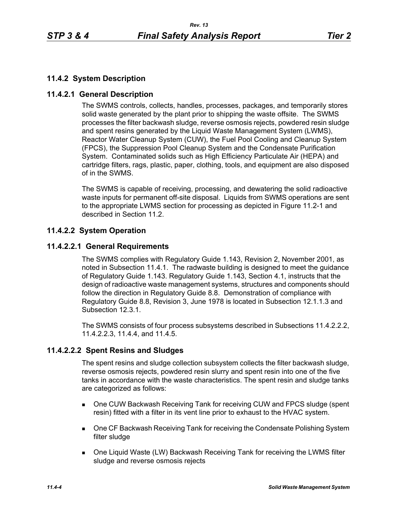# **11.4.2 System Description**

# **11.4.2.1 General Description**

The SWMS controls, collects, handles, processes, packages, and temporarily stores solid waste generated by the plant prior to shipping the waste offsite. The SWMS processes the filter backwash sludge, reverse osmosis rejects, powdered resin sludge and spent resins generated by the Liquid Waste Management System (LWMS), Reactor Water Cleanup System (CUW), the Fuel Pool Cooling and Cleanup System (FPCS), the Suppression Pool Cleanup System and the Condensate Purification System. Contaminated solids such as High Efficiency Particulate Air (HEPA) and cartridge filters, rags, plastic, paper, clothing, tools, and equipment are also disposed of in the SWMS.

The SWMS is capable of receiving, processing, and dewatering the solid radioactive waste inputs for permanent off-site disposal. Liquids from SWMS operations are sent to the appropriate LWMS section for processing as depicted in Figure 11.2-1 and described in Section 11.2.

# **11.4.2.2 System Operation**

# **11.4.2.2.1 General Requirements**

The SWMS complies with Regulatory Guide 1.143, Revision 2, November 2001, as noted in Subsection 11.4.1. The radwaste building is designed to meet the guidance of Regulatory Guide 1.143. Regulatory Guide 1.143, Section 4.1, instructs that the design of radioactive waste management systems, structures and components should follow the direction in Regulatory Guide 8.8. Demonstration of compliance with Regulatory Guide 8.8, Revision 3, June 1978 is located in Subsection 12.1.1.3 and Subsection 12.3.1.

The SWMS consists of four process subsystems described in Subsections 11.4.2.2.2, 11.4.2.2.3, 11.4.4, and 11.4.5.

# **11.4.2.2.2 Spent Resins and Sludges**

The spent resins and sludge collection subsystem collects the filter backwash sludge, reverse osmosis rejects, powdered resin slurry and spent resin into one of the five tanks in accordance with the waste characteristics. The spent resin and sludge tanks are categorized as follows:

- One CUW Backwash Receiving Tank for receiving CUW and FPCS sludge (spent resin) fitted with a filter in its vent line prior to exhaust to the HVAC system.
- **Die CF Backwash Receiving Tank for receiving the Condensate Polishing System** filter sludge
- One Liquid Waste (LW) Backwash Receiving Tank for receiving the LWMS filter sludge and reverse osmosis rejects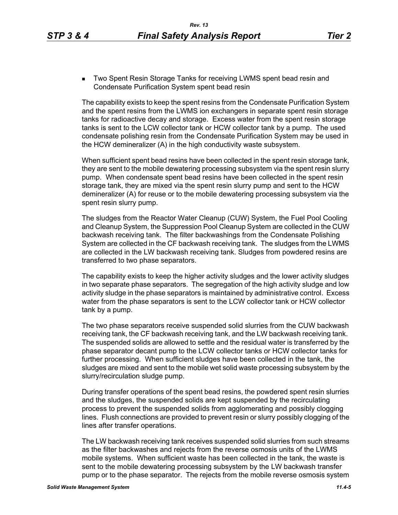**Two Spent Resin Storage Tanks for receiving LWMS spent bead resin and** Condensate Purification System spent bead resin

The capability exists to keep the spent resins from the Condensate Purification System and the spent resins from the LWMS ion exchangers in separate spent resin storage tanks for radioactive decay and storage. Excess water from the spent resin storage tanks is sent to the LCW collector tank or HCW collector tank by a pump. The used condensate polishing resin from the Condensate Purification System may be used in the HCW demineralizer (A) in the high conductivity waste subsystem.

When sufficient spent bead resins have been collected in the spent resin storage tank, they are sent to the mobile dewatering processing subsystem via the spent resin slurry pump. When condensate spent bead resins have been collected in the spent resin storage tank, they are mixed via the spent resin slurry pump and sent to the HCW demineralizer (A) for reuse or to the mobile dewatering processing subsystem via the spent resin slurry pump.

The sludges from the Reactor Water Cleanup (CUW) System, the Fuel Pool Cooling and Cleanup System, the Suppression Pool Cleanup System are collected in the CUW backwash receiving tank. The filter backwashings from the Condensate Polishing System are collected in the CF backwash receiving tank. The sludges from the LWMS are collected in the LW backwash receiving tank. Sludges from powdered resins are transferred to two phase separators.

The capability exists to keep the higher activity sludges and the lower activity sludges in two separate phase separators. The segregation of the high activity sludge and low activity sludge in the phase separators is maintained by administrative control. Excess water from the phase separators is sent to the LCW collector tank or HCW collector tank by a pump.

The two phase separators receive suspended solid slurries from the CUW backwash receiving tank, the CF backwash receiving tank, and the LW backwash receiving tank. The suspended solids are allowed to settle and the residual water is transferred by the phase separator decant pump to the LCW collector tanks or HCW collector tanks for further processing. When sufficient sludges have been collected in the tank, the sludges are mixed and sent to the mobile wet solid waste processing subsystem by the slurry/recirculation sludge pump.

During transfer operations of the spent bead resins, the powdered spent resin slurries and the sludges, the suspended solids are kept suspended by the recirculating process to prevent the suspended solids from agglomerating and possibly clogging lines. Flush connections are provided to prevent resin or slurry possibly clogging of the lines after transfer operations.

The LW backwash receiving tank receives suspended solid slurries from such streams as the filter backwashes and rejects from the reverse osmosis units of the LWMS mobile systems. When sufficient waste has been collected in the tank, the waste is sent to the mobile dewatering processing subsystem by the LW backwash transfer pump or to the phase separator. The rejects from the mobile reverse osmosis system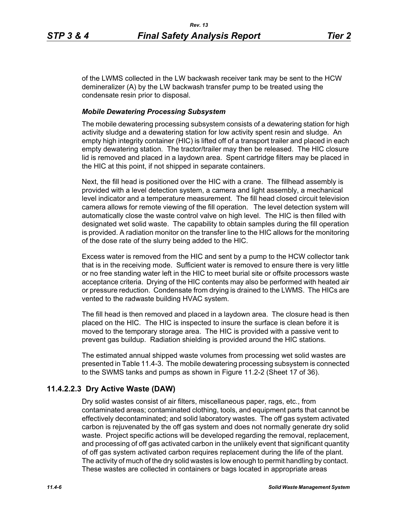of the LWMS collected in the LW backwash receiver tank may be sent to the HCW demineralizer (A) by the LW backwash transfer pump to be treated using the condensate resin prior to disposal.

## *Mobile Dewatering Processing Subsystem*

The mobile dewatering processing subsystem consists of a dewatering station for high activity sludge and a dewatering station for low activity spent resin and sludge. An empty high integrity container (HIC) is lifted off of a transport trailer and placed in each empty dewatering station. The tractor/trailer may then be released. The HIC closure lid is removed and placed in a laydown area. Spent cartridge filters may be placed in the HIC at this point, if not shipped in separate containers.

Next, the fill head is positioned over the HIC with a crane. The fillhead assembly is provided with a level detection system, a camera and light assembly, a mechanical level indicator and a temperature measurement. The fill head closed circuit television camera allows for remote viewing of the fill operation. The level detection system will automatically close the waste control valve on high level. The HIC is then filled with designated wet solid waste. The capability to obtain samples during the fill operation is provided. A radiation monitor on the transfer line to the HIC allows for the monitoring of the dose rate of the slurry being added to the HIC.

Excess water is removed from the HIC and sent by a pump to the HCW collector tank that is in the receiving mode. Sufficient water is removed to ensure there is very little or no free standing water left in the HIC to meet burial site or offsite processors waste acceptance criteria. Drying of the HIC contents may also be performed with heated air or pressure reduction. Condensate from drying is drained to the LWMS. The HICs are vented to the radwaste building HVAC system.

The fill head is then removed and placed in a laydown area. The closure head is then placed on the HIC. The HIC is inspected to insure the surface is clean before it is moved to the temporary storage area. The HIC is provided with a passive vent to prevent gas buildup. Radiation shielding is provided around the HIC stations.

The estimated annual shipped waste volumes from processing wet solid wastes are presented in Table 11.4-3. The mobile dewatering processing subsystem is connected to the SWMS tanks and pumps as shown in Figure 11.2-2 (Sheet 17 of 36).

# **11.4.2.2.3 Dry Active Waste (DAW)**

Dry solid wastes consist of air filters, miscellaneous paper, rags, etc., from contaminated areas; contaminated clothing, tools, and equipment parts that cannot be effectively decontaminated; and solid laboratory wastes. The off gas system activated carbon is rejuvenated by the off gas system and does not normally generate dry solid waste. Project specific actions will be developed regarding the removal, replacement, and processing of off gas activated carbon in the unlikely event that significant quantity of off gas system activated carbon requires replacement during the life of the plant. The activity of much of the dry solid wastes is low enough to permit handling by contact. These wastes are collected in containers or bags located in appropriate areas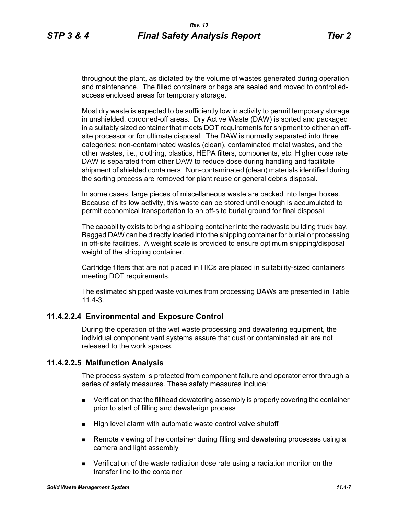throughout the plant, as dictated by the volume of wastes generated during operation and maintenance. The filled containers or bags are sealed and moved to controlledaccess enclosed areas for temporary storage.

Most dry waste is expected to be sufficiently low in activity to permit temporary storage in unshielded, cordoned-off areas. Dry Active Waste (DAW) is sorted and packaged in a suitably sized container that meets DOT requirements for shipment to either an offsite processor or for ultimate disposal. The DAW is normally separated into three categories: non-contaminated wastes (clean), contaminated metal wastes, and the other wastes, i.e., clothing, plastics, HEPA filters, components, etc. Higher dose rate DAW is separated from other DAW to reduce dose during handling and facilitate shipment of shielded containers. Non-contaminated (clean) materials identified during the sorting process are removed for plant reuse or general debris disposal.

In some cases, large pieces of miscellaneous waste are packed into larger boxes. Because of its low activity, this waste can be stored until enough is accumulated to permit economical transportation to an off-site burial ground for final disposal.

The capability exists to bring a shipping container into the radwaste building truck bay. Bagged DAW can be directly loaded into the shipping container for burial or processing in off-site facilities. A weight scale is provided to ensure optimum shipping/disposal weight of the shipping container.

Cartridge filters that are not placed in HICs are placed in suitability-sized containers meeting DOT requirements.

The estimated shipped waste volumes from processing DAWs are presented in Table 11.4-3.

# **11.4.2.2.4 Environmental and Exposure Control**

During the operation of the wet waste processing and dewatering equipment, the individual component vent systems assure that dust or contaminated air are not released to the work spaces.

# **11.4.2.2.5 Malfunction Analysis**

The process system is protected from component failure and operator error through a series of safety measures. These safety measures include:

- **EXECT** Verification that the fillhead dewatering assembly is properly covering the container prior to start of filling and dewaterign process
- High level alarm with automatic waste control valve shutoff
- Remote viewing of the container during filling and dewatering processes using a camera and light assembly
- Verification of the waste radiation dose rate using a radiation monitor on the transfer line to the container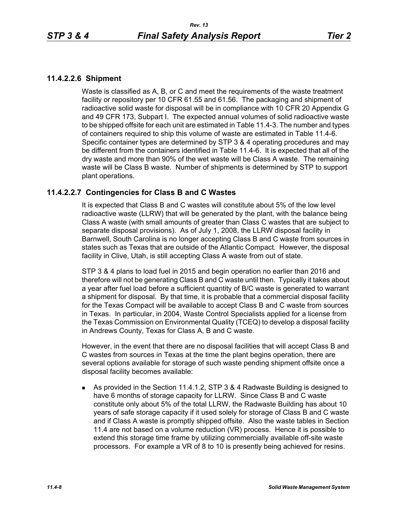# **11.4.2.2.6 Shipment**

Waste is classified as A, B, or C and meet the requirements of the waste treatment facility or repository per 10 CFR 61.55 and 61.56. The packaging and shipment of radioactive solid waste for disposal will be in compliance with 10 CFR 20 Appendix G and 49 CFR 173, Subpart I. The expected annual volumes of solid radioactive waste to be shipped offsite for each unit are estimated in Table 11.4-3. The number and types of containers required to ship this volume of waste are estimated in Table 11.4-6. Specific container types are determined by STP 3 & 4 operating procedures and may be different from the containers identified in Table 11.4-6. It is expected that all of the dry waste and more than 90% of the wet waste will be Class A waste. The remaining waste will be Class B waste. Number of shipments is determined by STP to support plant operations.

# **11.4.2.2.7 Contingencies for Class B and C Wastes**

It is expected that Class B and C wastes will constitute about 5% of the low level radioactive waste (LLRW) that will be generated by the plant, with the balance being Class A waste (with small amounts of greater than Class C wastes that are subject to separate disposal provisions). As of July 1, 2008, the LLRW disposal facility in Barnwell, South Carolina is no longer accepting Class B and C waste from sources in states such as Texas that are outside of the Atlantic Compact. However, the disposal facility in Clive, Utah, is still accepting Class A waste from out of state.

STP 3 & 4 plans to load fuel in 2015 and begin operation no earlier than 2016 and therefore will not be generating Class B and C waste until then. Typically it takes about a year after fuel load before a sufficient quantity of B/C waste is generated to warrant a shipment for disposal. By that time, it is probable that a commercial disposal facility for the Texas Compact will be available to accept Class B and C waste from sources in Texas. In particular, in 2004, Waste Control Specialists applied for a license from the Texas Commission on Environmental Quality (TCEQ) to develop a disposal facility in Andrews County, Texas for Class A, B and C waste.

However, in the event that there are no disposal facilities that will accept Class B and C wastes from sources in Texas at the time the plant begins operation, there are several options available for storage of such waste pending shipment offsite once a disposal facility becomes available:

 As provided in the Section 11.4.1.2, STP 3 & 4 Radwaste Building is designed to have 6 months of storage capacity for LLRW. Since Class B and C waste constitute only about 5% of the total LLRW, the Radwaste Building has about 10 years of safe storage capacity if it used solely for storage of Class B and C waste and if Class A waste is promptly shipped offsite. Also the waste tables in Section 11.4 are not based on a volume reduction (VR) process. Hence it is possible to extend this storage time frame by utilizing commercially available off-site waste processors. For example a VR of 8 to 10 is presently being achieved for resins.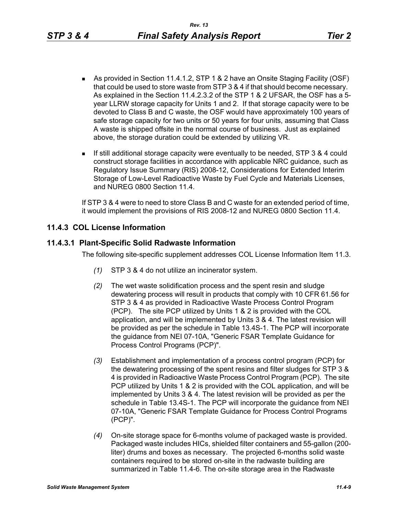- As provided in Section 11.4.1.2, STP 1 & 2 have an Onsite Staging Facility (OSF) that could be used to store waste from STP 3 & 4 if that should become necessary. As explained in the Section 11.4.2.3.2 of the STP 1 & 2 UFSAR, the OSF has a 5 year LLRW storage capacity for Units 1 and 2. If that storage capacity were to be devoted to Class B and C waste, the OSF would have approximately 100 years of safe storage capacity for two units or 50 years for four units, assuming that Class A waste is shipped offsite in the normal course of business. Just as explained above, the storage duration could be extended by utilizing VR.
- If still additional storage capacity were eventually to be needed, STP 3 & 4 could construct storage facilities in accordance with applicable NRC guidance, such as Regulatory Issue Summary (RIS) 2008-12, Considerations for Extended Interim Storage of Low-Level Radioactive Waste by Fuel Cycle and Materials Licenses, and NUREG 0800 Section 11.4.

If STP 3 & 4 were to need to store Class B and C waste for an extended period of time, it would implement the provisions of RIS 2008-12 and NUREG 0800 Section 11.4.

# **11.4.3 COL License Information**

# **11.4.3.1 Plant-Specific Solid Radwaste Information**

The following site-specific supplement addresses COL License Information Item 11.3.

- *(1)* STP 3 & 4 do not utilize an incinerator system.
- *(2)* The wet waste solidification process and the spent resin and sludge dewatering process will result in products that comply with 10 CFR 61.56 for STP 3 & 4 as provided in Radioactive Waste Process Control Program (PCP). The site PCP utilized by Units 1 & 2 is provided with the COL application, and will be implemented by Units 3 & 4. The latest revision will be provided as per the schedule in Table 13.4S-1. The PCP will incorporate the guidance from NEI 07-10A, "Generic FSAR Template Guidance for Process Control Programs (PCP)".
- *(3)* Establishment and implementation of a process control program (PCP) for the dewatering processing of the spent resins and filter sludges for STP 3 & 4 is provided in Radioactive Waste Process Control Program (PCP). The site PCP utilized by Units 1 & 2 is provided with the COL application, and will be implemented by Units 3 & 4. The latest revision will be provided as per the schedule in Table 13.4S-1. The PCP will incorporate the guidance from NEI 07-10A, "Generic FSAR Template Guidance for Process Control Programs (PCP)".
- *(4)* On-site storage space for 6-months volume of packaged waste is provided. Packaged waste includes HICs, shielded filter containers and 55-gallon (200 liter) drums and boxes as necessary. The projected 6-months solid waste containers required to be stored on-site in the radwaste building are summarized in Table 11.4-6. The on-site storage area in the Radwaste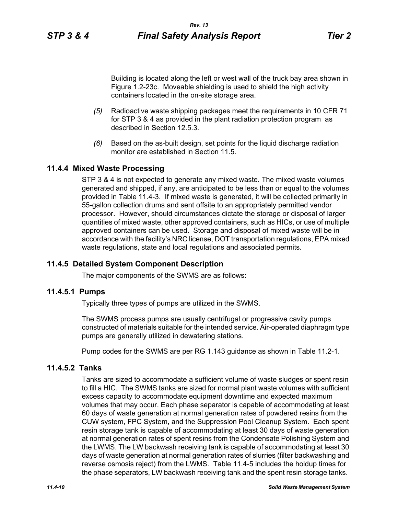Building is located along the left or west wall of the truck bay area shown in Figure 1.2-23c. Moveable shielding is used to shield the high activity containers located in the on-site storage area.

- *(5)* Radioactive waste shipping packages meet the requirements in 10 CFR 71 for STP 3 & 4 as provided in the plant radiation protection program as described in Section 12.5.3.
- *(6)* Based on the as-built design, set points for the liquid discharge radiation monitor are established in Section 11.5

# **11.4.4 Mixed Waste Processing**

STP 3 & 4 is not expected to generate any mixed waste. The mixed waste volumes generated and shipped, if any, are anticipated to be less than or equal to the volumes provided in Table 11.4-3. If mixed waste is generated, it will be collected primarily in 55-gallon collection drums and sent offsite to an appropriately permitted vendor processor. However, should circumstances dictate the storage or disposal of larger quantities of mixed waste, other approved containers, such as HICs, or use of multiple approved containers can be used. Storage and disposal of mixed waste will be in accordance with the facility's NRC license, DOT transportation regulations, EPA mixed waste regulations, state and local regulations and associated permits.

### **11.4.5 Detailed System Component Description**

The major components of the SWMS are as follows:

### **11.4.5.1 Pumps**

Typically three types of pumps are utilized in the SWMS.

The SWMS process pumps are usually centrifugal or progressive cavity pumps constructed of materials suitable for the intended service. Air-operated diaphragm type pumps are generally utilized in dewatering stations.

Pump codes for the SWMS are per RG 1.143 guidance as shown in Table 11.2-1.

# **11.4.5.2 Tanks**

Tanks are sized to accommodate a sufficient volume of waste sludges or spent resin to fill a HIC. The SWMS tanks are sized for normal plant waste volumes with sufficient excess capacity to accommodate equipment downtime and expected maximum volumes that may occur. Each phase separator is capable of accommodating at least 60 days of waste generation at normal generation rates of powdered resins from the CUW system, FPC System, and the Suppression Pool Cleanup System. Each spent resin storage tank is capable of accommodating at least 30 days of waste generation at normal generation rates of spent resins from the Condensate Polishing System and the LWMS. The LW backwash receiving tank is capable of accommodating at least 30 days of waste generation at normal generation rates of slurries (filter backwashing and reverse osmosis reject) from the LWMS. Table 11.4-5 includes the holdup times for the phase separators, LW backwash receiving tank and the spent resin storage tanks.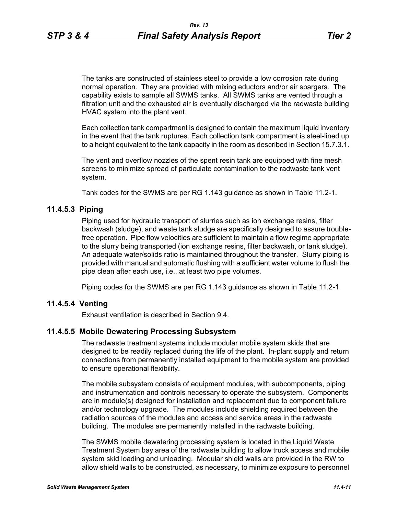The tanks are constructed of stainless steel to provide a low corrosion rate during normal operation. They are provided with mixing eductors and/or air spargers. The capability exists to sample all SWMS tanks. All SWMS tanks are vented through a filtration unit and the exhausted air is eventually discharged via the radwaste building HVAC system into the plant vent.

Each collection tank compartment is designed to contain the maximum liquid inventory in the event that the tank ruptures. Each collection tank compartment is steel-lined up to a height equivalent to the tank capacity in the room as described in Section 15.7.3.1.

The vent and overflow nozzles of the spent resin tank are equipped with fine mesh screens to minimize spread of particulate contamination to the radwaste tank vent system.

Tank codes for the SWMS are per RG 1.143 guidance as shown in Table 11.2-1.

# **11.4.5.3 Piping**

Piping used for hydraulic transport of slurries such as ion exchange resins, filter backwash (sludge), and waste tank sludge are specifically designed to assure troublefree operation. Pipe flow velocities are sufficient to maintain a flow regime appropriate to the slurry being transported (ion exchange resins, filter backwash, or tank sludge). An adequate water/solids ratio is maintained throughout the transfer. Slurry piping is provided with manual and automatic flushing with a sufficient water volume to flush the pipe clean after each use, i.e., at least two pipe volumes.

Piping codes for the SWMS are per RG 1.143 guidance as shown in Table 11.2-1.

### **11.4.5.4 Venting**

Exhaust ventilation is described in Section 9.4.

### **11.4.5.5 Mobile Dewatering Processing Subsystem**

The radwaste treatment systems include modular mobile system skids that are designed to be readily replaced during the life of the plant. In-plant supply and return connections from permanently installed equipment to the mobile system are provided to ensure operational flexibility.

The mobile subsystem consists of equipment modules, with subcomponents, piping and instrumentation and controls necessary to operate the subsystem. Components are in module(s) designed for installation and replacement due to component failure and/or technology upgrade. The modules include shielding required between the radiation sources of the modules and access and service areas in the radwaste building. The modules are permanently installed in the radwaste building.

The SWMS mobile dewatering processing system is located in the Liquid Waste Treatment System bay area of the radwaste building to allow truck access and mobile system skid loading and unloading. Modular shield walls are provided in the RW to allow shield walls to be constructed, as necessary, to minimize exposure to personnel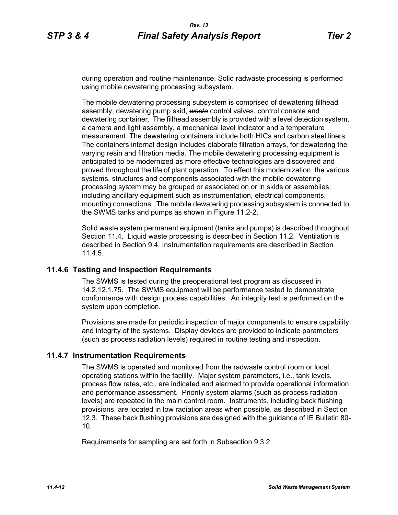during operation and routine maintenance. Solid radwaste processing is performed using mobile dewatering processing subsystem.

The mobile dewatering processing subsystem is comprised of dewatering fillhead assembly, dewatering pump skid, *waste* control valves, control console and dewatering container. The fillhead assembly is provided with a level detection system, a camera and light assembly, a mechanical level indicator and a temperature measurement. The dewatering containers include both HICs and carbon steel liners. The containers internal design includes elaborate filtration arrays, for dewatering the varying resin and filtration media. The mobile dewatering processing equipment is anticipated to be modernized as more effective technologies are discovered and proved throughout the life of plant operation. To effect this modernization, the various systems, structures and components associated with the mobile dewatering processing system may be grouped or associated on or in skids or assemblies, including ancillary equipment such as instrumentation, electrical components, mounting connections. The mobile dewatering processing subsystem is connected to the SWMS tanks and pumps as shown in Figure 11.2-2.

Solid waste system permanent equipment (tanks and pumps) is described throughout Section 11.4. Liquid waste processing is described in Section 11.2. Ventilation is described in Section 9.4. Instrumentation requirements are described in Section 11.4.5.

# **11.4.6 Testing and Inspection Requirements**

The SWMS is tested during the preoperational test program as discussed in 14.2.12.1.75. The SWMS equipment will be performance tested to demonstrate conformance with design process capabilities. An integrity test is performed on the system upon completion.

Provisions are made for periodic inspection of major components to ensure capability and integrity of the systems. Display devices are provided to indicate parameters (such as process radiation levels) required in routine testing and inspection.

### **11.4.7 Instrumentation Requirements**

The SWMS is operated and monitored from the radwaste control room or local operating stations within the facility. Major system parameters, i.e., tank levels, process flow rates, etc., are indicated and alarmed to provide operational information and performance assessment. Priority system alarms (such as process radiation levels) are repeated in the main control room. Instruments, including back flushing provisions, are located in low radiation areas when possible, as described in Section 12.3. These back flushing provisions are designed with the guidance of IE Bulletin 80- 10.

Requirements for sampling are set forth in Subsection 9.3.2.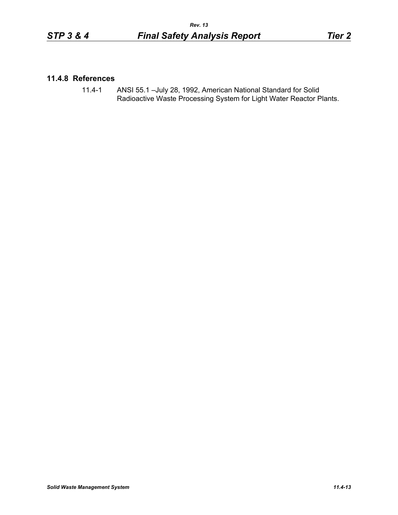# **11.4.8 References**

11.4-1 ANSI 55.1 –July 28, 1992, American National Standard for Solid Radioactive Waste Processing System for Light Water Reactor Plants.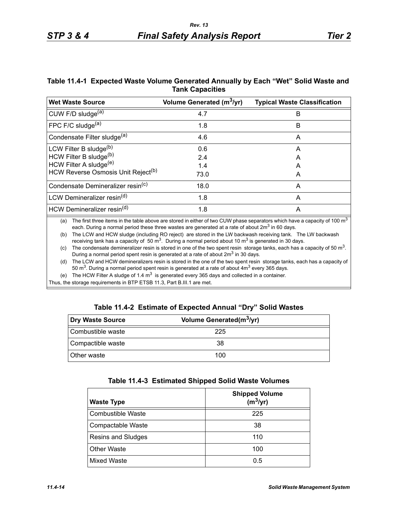# **Table 11.4-1 Expected Waste Volume Generated Annually by Each "Wet" Solid Waste and Tank Capacities**

| <b>Wet Waste Source</b>                                                                                                                 | Volume Generated (m <sup>3</sup> /yr) | <b>Typical Waste Classification</b> |
|-----------------------------------------------------------------------------------------------------------------------------------------|---------------------------------------|-------------------------------------|
| CUW F/D sludge <sup>(a)</sup>                                                                                                           | 4.7                                   | B                                   |
| FPC F/C sludge <sup>(a)</sup>                                                                                                           | 1.8                                   | B                                   |
| Condensate Filter sludge <sup>(a)</sup>                                                                                                 | 4.6                                   | A                                   |
| LCW Filter B sludge <sup>(b)</sup>                                                                                                      | 0.6                                   | Α                                   |
| HCW Filter B sludge(b)                                                                                                                  | 2.4                                   | A                                   |
| HCW Filter A sludge <sup>(e)</sup>                                                                                                      | 1.4                                   | A                                   |
| HCW Reverse Osmosis Unit Reject <sup>(b)</sup>                                                                                          | 73.0                                  | A                                   |
| Condensate Demineralizer resin <sup>(c)</sup>                                                                                           | 18.0                                  | A                                   |
| LCW Demineralizer resin <sup>(d)</sup>                                                                                                  | 1.8                                   | A                                   |
| HCW Demineralizer resin <sup>(d)</sup>                                                                                                  | 1.8                                   | A                                   |
| (a) The first three items in the table shows are stared in either of two CUW phase separators which have a conseity of 100 $\text{m}^3$ |                                       |                                     |

(a) The first three items in the table above are stored in either of two CUW phase separators which have a capacity of 100 m each. During a normal period these three wastes are generated at a rate of about  $2m<sup>3</sup>$  in 60 days.

(b) The LCW and HCW sludge (including RO reject) are stored in the LW backwash receiving tank. The LW backwash receiving tank has a capacity of 50  $\text{m}^3$ . During a normal period about 10  $\text{m}^3$  is generated in 30 days.

(c) The condensate demineralizer resin is stored in one of the two spent resin storage tanks, each has a capacity of 50  $m<sup>3</sup>$ . During a normal period spent resin is generated at a rate of about  $2m<sup>3</sup>$  in 30 days.

(d) The LCW and HCW demineralizers resin is stored in the one of the two spent resin storage tanks, each has a capacity of 50 m<sup>3</sup>. During a normal period spent resin is generated at a rate of about  $4m<sup>3</sup>$  every 365 days.

(e) The HCW Filter A sludge of 1.4  $m^3$  is generated every 365 days and collected in a container.

Thus, the storage requirements in BTP ETSB 11.3, Part B.III.1 are met.

# **Table 11.4-2 Estimate of Expected Annual "Dry" Solid Wastes**

| Dry Waste Source   | Volume Generated(m <sup>3</sup> /yr) |  |
|--------------------|--------------------------------------|--|
| Combustible waste  | 225                                  |  |
| Compactible waste  | 38                                   |  |
| <b>Other waste</b> | 100                                  |  |

| <b>Waste Type</b>         | <b>Shipped Volume</b><br>$(m^3/yr)$ |
|---------------------------|-------------------------------------|
| Combustible Waste         | 225                                 |
| Compactable Waste         | 38                                  |
| <b>Resins and Sludges</b> | 110                                 |
| <b>Other Waste</b>        | 100                                 |
| <b>Mixed Waste</b>        | 0.5                                 |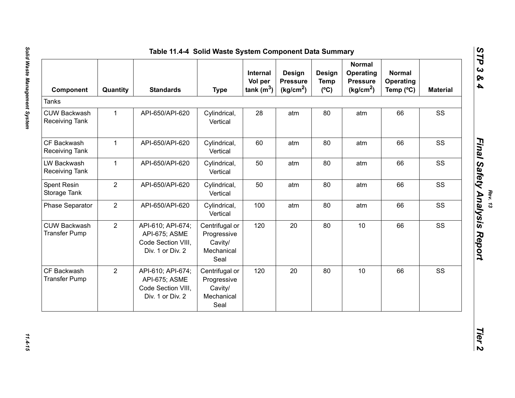| Component                                   | Quantity       | <b>Standards</b>                                                             | <b>Type</b>                                                    | <b>Internal</b><br>Vol per<br>tank $(m^3)$ | Design<br><b>Pressure</b><br>(kg/cm <sup>2</sup> ) | <b>Design</b><br><b>Temp</b><br>(C) | <b>Normal</b><br>Operating<br><b>Pressure</b><br>(kg/cm <sup>2</sup> ) | <b>Normal</b><br>Operating<br>Temp $(^{\circ}C)$ | <b>Material</b> |
|---------------------------------------------|----------------|------------------------------------------------------------------------------|----------------------------------------------------------------|--------------------------------------------|----------------------------------------------------|-------------------------------------|------------------------------------------------------------------------|--------------------------------------------------|-----------------|
| Tanks                                       |                |                                                                              |                                                                |                                            |                                                    |                                     |                                                                        |                                                  |                 |
| <b>CUW Backwash</b><br>Receiving Tank       | $\mathbf{1}$   | API-650/API-620                                                              | Cylindrical,<br>Vertical                                       | 28                                         | atm                                                | 80                                  | atm                                                                    | 66                                               | SS              |
| CF Backwash<br>Receiving Tank               | $\mathbf{1}$   | API-650/API-620                                                              | Cylindrical,<br>Vertical                                       | 60                                         | atm                                                | 80                                  | atm                                                                    | 66                                               | SS              |
| LW Backwash<br>Receiving Tank               | $\mathbf{1}$   | API-650/API-620                                                              | Cylindrical,<br>Vertical                                       | 50                                         | atm                                                | 80                                  | atm                                                                    | 66                                               | SS              |
| Spent Resin<br>Storage Tank                 | $\overline{2}$ | API-650/API-620                                                              | Cylindrical,<br>Vertical                                       | 50                                         | atm                                                | 80                                  | atm                                                                    | 66                                               | SS              |
| Phase Separator                             | $\overline{2}$ | API-650/API-620                                                              | Cylindrical,<br>Vertical                                       | 100                                        | atm                                                | 80                                  | atm                                                                    | 66                                               | SS              |
| <b>CUW Backwash</b><br><b>Transfer Pump</b> | $\overline{2}$ | API-610; API-674;<br>API-675; ASME<br>Code Section VIII,<br>Div. 1 or Div. 2 | Centrifugal or<br>Progressive<br>Cavity/<br>Mechanical<br>Seal | 120                                        | 20                                                 | 80                                  | 10                                                                     | 66                                               | SS              |
| CF Backwash<br><b>Transfer Pump</b>         | $\overline{2}$ | API-610; API-674;<br>API-675; ASME<br>Code Section VIII,<br>Div. 1 or Div. 2 | Centrifugal or<br>Progressive<br>Cavity/<br>Mechanical<br>Seal | 120                                        | 20                                                 | 80                                  | 10                                                                     | 66                                               | SS              |

11.4-15

*Rev. 13*<br>Final Safety Analysis Report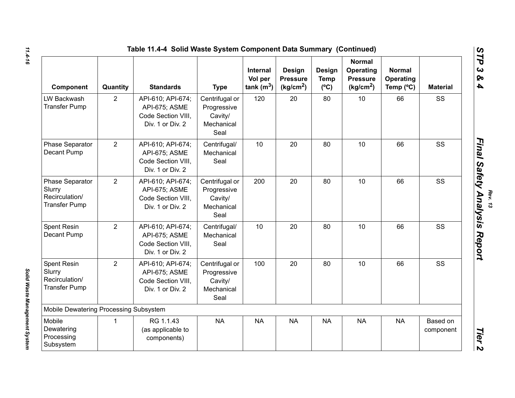|                                                                     |                | Table 11.4-4 Solid Waste System Component Data Summary (Continued)           |                                                                |                                     |                                                    |                                               |                                                                        |                                         |                       |
|---------------------------------------------------------------------|----------------|------------------------------------------------------------------------------|----------------------------------------------------------------|-------------------------------------|----------------------------------------------------|-----------------------------------------------|------------------------------------------------------------------------|-----------------------------------------|-----------------------|
| Component                                                           | Quantity       | <b>Standards</b>                                                             | <b>Type</b>                                                    | Internal<br>Vol per<br>tank $(m^3)$ | Design<br><b>Pressure</b><br>(kg/cm <sup>2</sup> ) | <b>Design</b><br><b>Temp</b><br>$(^{\circ}C)$ | <b>Normal</b><br>Operating<br><b>Pressure</b><br>(kg/cm <sup>2</sup> ) | <b>Normal</b><br>Operating<br>Temp (°C) | <b>Material</b>       |
| LW Backwash<br><b>Transfer Pump</b>                                 | $\overline{2}$ | API-610; API-674;<br>API-675; ASME<br>Code Section VIII,<br>Div. 1 or Div. 2 | Centrifugal or<br>Progressive<br>Cavity/<br>Mechanical<br>Seal | 120                                 | 20                                                 | 80                                            | 10                                                                     | 66                                      | SS                    |
| Phase Separator<br>Decant Pump                                      | $\overline{2}$ | API-610; API-674;<br>API-675; ASME<br>Code Section VIII.<br>Div. 1 or Div. 2 | Centrifugal/<br>Mechanical<br>Seal                             | 10                                  | 20                                                 | 80                                            | 10                                                                     | 66                                      | SS                    |
| Phase Separator<br>Slurry<br>Recirculation/<br><b>Transfer Pump</b> | $\overline{2}$ | API-610; API-674;<br>API-675; ASME<br>Code Section VIII,<br>Div. 1 or Div. 2 | Centrifugal or<br>Progressive<br>Cavity/<br>Mechanical<br>Seal | 200                                 | 20                                                 | 80                                            | 10                                                                     | 66                                      | SS                    |
| Spent Resin<br>Decant Pump                                          | $\overline{2}$ | API-610; API-674;<br>API-675; ASME<br>Code Section VIII.<br>Div. 1 or Div. 2 | Centrifugal/<br>Mechanical<br>Seal                             | 10                                  | 20                                                 | 80                                            | 10                                                                     | 66                                      | SS                    |
| Spent Resin<br>Slurry<br>Recirculation/<br><b>Transfer Pump</b>     | $\overline{2}$ | API-610; API-674;<br>API-675; ASME<br>Code Section VIII.<br>Div. 1 or Div. 2 | Centrifugal or<br>Progressive<br>Cavity/<br>Mechanical<br>Seal | 100                                 | 20                                                 | 80                                            | 10                                                                     | 66                                      | SS                    |
| Mobile Dewatering Processing Subsystem                              |                |                                                                              |                                                                |                                     |                                                    |                                               |                                                                        |                                         |                       |
| Mobile<br>Dewatering<br>Processing<br>Subsystem                     | 1              | RG 1.1.43<br>(as applicable to<br>components)                                | <b>NA</b>                                                      | <b>NA</b>                           | <b>NA</b>                                          | <b>NA</b>                                     | <b>NA</b>                                                              | <b>NA</b>                               | Based on<br>component |

*11.4-16*

*Rev. 13*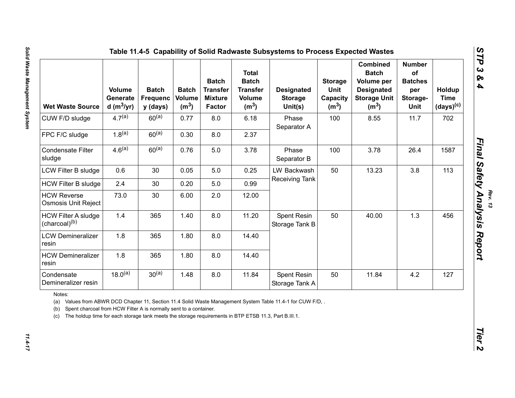| <b>Wet Waste Source</b>                                                                                                                                                                                                                                                                                          | <b>Volume</b><br>Generate<br>d (m $3$ /yr) | <b>Batch</b><br><b>Frequenc</b><br>y (days) | <b>Batch</b><br><b>Volume</b><br>(m <sup>3</sup> ) | <b>Batch</b><br><b>Transfer</b><br><b>Mixture</b><br><b>Factor</b> | <b>Total</b><br><b>Batch</b><br><b>Transfer</b><br><b>Volume</b><br>(m <sup>3</sup> ) | <b>Designated</b><br><b>Storage</b><br>Unit(s) | <b>Storage</b><br>Unit<br>Capacity<br>(m <sup>3</sup> ) | <b>Combined</b><br><b>Batch</b><br>Volume per<br><b>Designated</b><br><b>Storage Unit</b><br>(m <sup>3</sup> ) | <b>Number</b><br>of<br><b>Batches</b><br>per<br>Storage-<br><b>Unit</b> | Holdup<br><b>Time</b><br>$(days)^{(c)}$ |
|------------------------------------------------------------------------------------------------------------------------------------------------------------------------------------------------------------------------------------------------------------------------------------------------------------------|--------------------------------------------|---------------------------------------------|----------------------------------------------------|--------------------------------------------------------------------|---------------------------------------------------------------------------------------|------------------------------------------------|---------------------------------------------------------|----------------------------------------------------------------------------------------------------------------|-------------------------------------------------------------------------|-----------------------------------------|
| CUW F/D sludge                                                                                                                                                                                                                                                                                                   | $4.7^{(a)}$                                | $60^{(a)}$                                  | 0.77                                               | 8.0                                                                | 6.18                                                                                  | Phase<br>Separator A                           | 100                                                     | 8.55                                                                                                           | 11.7                                                                    | 702                                     |
| FPC F/C sludge                                                                                                                                                                                                                                                                                                   | $1.8^{(a)}$                                | $60^{(a)}$                                  | 0.30                                               | 8.0                                                                | 2.37                                                                                  |                                                |                                                         |                                                                                                                |                                                                         |                                         |
| <b>Condensate Filter</b><br>sludge                                                                                                                                                                                                                                                                               | 4.6 <sup>(a)</sup>                         | $60^{(a)}$                                  | 0.76                                               | 5.0                                                                | 3.78                                                                                  | Phase<br>Separator B                           | 100                                                     | 3.78                                                                                                           | 26.4                                                                    | 1587                                    |
| LCW Filter B sludge                                                                                                                                                                                                                                                                                              | 0.6                                        | 30                                          | 0.05                                               | 5.0                                                                | 0.25                                                                                  | LW Backwash                                    | 50                                                      | 13.23                                                                                                          | 3.8                                                                     | 113                                     |
| <b>HCW Filter B sludge</b>                                                                                                                                                                                                                                                                                       | 2.4                                        | 30                                          | 0.20                                               | $5.0\,$                                                            | 0.99                                                                                  | Receiving Tank                                 |                                                         |                                                                                                                |                                                                         |                                         |
| <b>HCW Reverse</b><br>Osmosis Unit Reject                                                                                                                                                                                                                                                                        | 73.0                                       | 30                                          | 6.00                                               | 2.0                                                                | 12.00                                                                                 |                                                |                                                         |                                                                                                                |                                                                         |                                         |
| <b>HCW Filter A sludge</b><br>(charcoal) <sup>(b)</sup>                                                                                                                                                                                                                                                          | 1.4                                        | 365                                         | 1.40                                               | 8.0                                                                | 11.20                                                                                 | Spent Resin<br>Storage Tank B                  | 50                                                      | 40.00                                                                                                          | 1.3                                                                     | 456                                     |
| <b>LCW Demineralizer</b><br>resin                                                                                                                                                                                                                                                                                | 1.8                                        | 365                                         | 1.80                                               | 8.0                                                                | 14.40                                                                                 |                                                |                                                         |                                                                                                                |                                                                         |                                         |
| <b>HCW Demineralizer</b><br>resin                                                                                                                                                                                                                                                                                | 1.8                                        | 365                                         | 1.80                                               | 8.0                                                                | 14.40                                                                                 |                                                |                                                         |                                                                                                                |                                                                         |                                         |
| Condensate<br>Demineralizer resin                                                                                                                                                                                                                                                                                | $18.0^{(a)}$                               | $30^{(a)}$                                  | 1.48                                               | 8.0                                                                | 11.84                                                                                 | Spent Resin<br>Storage Tank A                  | 50                                                      | 11.84                                                                                                          | 4.2                                                                     | 127                                     |
| Notes:<br>(a) Values from ABWR DCD Chapter 11, Section 11.4 Solid Waste Management System Table 11.4-1 for CUW F/D, .<br>Spent charcoal from HCW Filter A is normally sent to a container.<br>(b)<br>The holdup time for each storage tank meets the storage requirements in BTP ETSB 11.3, Part B.III.1.<br>(C) |                                            |                                             |                                                    |                                                                    |                                                                                       |                                                |                                                         |                                                                                                                |                                                                         |                                         |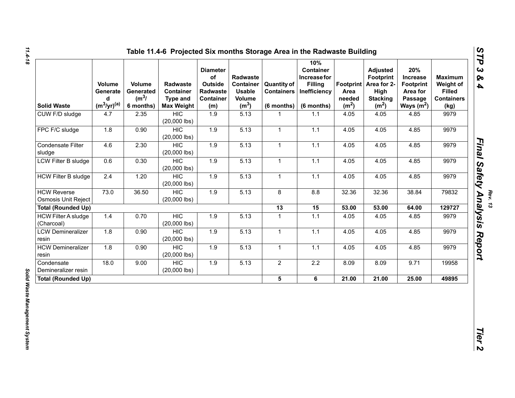| <b>Solid Waste</b>                               | Volume<br>Generate<br>d<br>$(m^3/yr)^{(a)}$ | Volume<br>Generated<br>(m <sup>3</sup> /)<br>6 months) | Radwaste<br>Container<br>Type and<br><b>Max Weight</b> | <b>Diameter</b><br>of<br>Outside<br>Radwaste<br>Container<br>(m) | Radwaste<br>Container<br><b>Usable</b><br>Volume<br>(m <sup>3</sup> ) | <b>Quantity of</b><br><b>Containers</b><br>(6 months) | 10%<br>Container<br>Increase for<br><b>Filling</b><br>Inefficiency<br>(6 months) | Footprint<br>Area<br>needed<br>(m <sup>2</sup> ) | <b>Adjusted</b><br>Footprint<br>Area for 2-<br>High<br><b>Stacking</b><br>(m <sup>2</sup> ) | 20%<br>Increase<br><b>Footprint</b><br>Area for<br>Passage<br>Ways $(m^2)$ | <b>Maximum</b><br>Weight of<br><b>Filled</b><br><b>Containers</b><br>(kg) |
|--------------------------------------------------|---------------------------------------------|--------------------------------------------------------|--------------------------------------------------------|------------------------------------------------------------------|-----------------------------------------------------------------------|-------------------------------------------------------|----------------------------------------------------------------------------------|--------------------------------------------------|---------------------------------------------------------------------------------------------|----------------------------------------------------------------------------|---------------------------------------------------------------------------|
| CUW F/D sludge                                   | 4.7                                         | 2.35                                                   | <b>HIC</b><br>$(20,000$ lbs)                           | 1.9                                                              | 5.13                                                                  | $\mathbf{1}$                                          | 1.1                                                                              | 4.05                                             | 4.05                                                                                        | 4.85                                                                       | 9979                                                                      |
| FPC F/C sludge                                   | 1.8                                         | 0.90                                                   | HIC<br>$(20,000$ lbs)                                  | 1.9                                                              | 5.13                                                                  | $\mathbf{1}$                                          | $1.1$                                                                            | 4.05                                             | 4.05                                                                                        | 4.85                                                                       | 9979                                                                      |
| Condensate Filter<br>sludge                      | 4.6                                         | 2.30                                                   | <b>HIC</b><br>$(20,000$ lbs)                           | 1.9                                                              | 5.13                                                                  | $\mathbf{1}$                                          | 1.1                                                                              | 4.05                                             | 4.05                                                                                        | 4.85                                                                       | 9979                                                                      |
| LCW Filter B sludge                              | 0.6                                         | 0.30                                                   | <b>HIC</b><br>$(20,000$ lbs)                           | 1.9                                                              | 5.13                                                                  | $\mathbf 1$                                           | $1.1$                                                                            | 4.05                                             | 4.05                                                                                        | 4.85                                                                       | 9979                                                                      |
| <b>HCW Filter B sludge</b>                       | 2.4                                         | 1.20                                                   | <b>HIC</b><br>$(20,000$ lbs)                           | 1.9                                                              | 5.13                                                                  | $\mathbf{1}$                                          | $1.1$                                                                            | 4.05                                             | 4.05                                                                                        | 4.85                                                                       | 9979                                                                      |
| <b>HCW Reverse</b><br><b>Osmosis Unit Reject</b> | 73.0                                        | 36.50                                                  | HIC<br>$(20,000$ lbs)                                  | 1.9                                                              | 5.13                                                                  | 8                                                     | 8.8                                                                              | 32.36                                            | 32.36                                                                                       | 38.84                                                                      | 79832                                                                     |
| <b>Total (Rounded Up)</b>                        |                                             |                                                        |                                                        |                                                                  |                                                                       | $\overline{13}$                                       | 15                                                                               | 53.00                                            | 53.00                                                                                       | 64.00                                                                      | 129727                                                                    |
| <b>HCW Filter A sludge</b><br>(Charcoal)         | 1.4                                         | 0.70                                                   | HIC<br>$(20,000$ lbs)                                  | 1.9                                                              | 5.13                                                                  | $\mathbf{1}$                                          | 1.1                                                                              | 4.05                                             | 4.05                                                                                        | 4.85                                                                       | 9979                                                                      |
| <b>LCW Demineralizer</b><br>resin                | 1.8                                         | 0.90                                                   | HIC<br>$(20,000$ lbs)                                  | 1.9                                                              | 5.13                                                                  | $\mathbf{1}$                                          | $1.1$                                                                            | 4.05                                             | 4.05                                                                                        | 4.85                                                                       | 9979                                                                      |
| <b>HCW Demineralizer</b><br>resin                | 1.8                                         | 0.90                                                   | <b>HIC</b><br>$(20,000$ lbs)                           | 1.9                                                              | 5.13                                                                  | $\mathbf{1}$                                          | $1.1$                                                                            | 4.05                                             | 4.05                                                                                        | 4.85                                                                       | 9979                                                                      |
| Condensate<br>Demineralizer resin                | 18.0                                        | 9.00                                                   | <b>HIC</b><br>$(20,000$ lbs)                           | 1.9                                                              | 5.13                                                                  | $\overline{2}$                                        | 2.2                                                                              | 8.09                                             | 8.09                                                                                        | 9.71                                                                       | 19958                                                                     |
| <b>Total (Rounded Up)</b>                        |                                             |                                                        |                                                        |                                                                  |                                                                       | 5                                                     | 6                                                                                | 21.00                                            | 21.00                                                                                       | 25.00                                                                      | 49895                                                                     |

*Rev. 13*